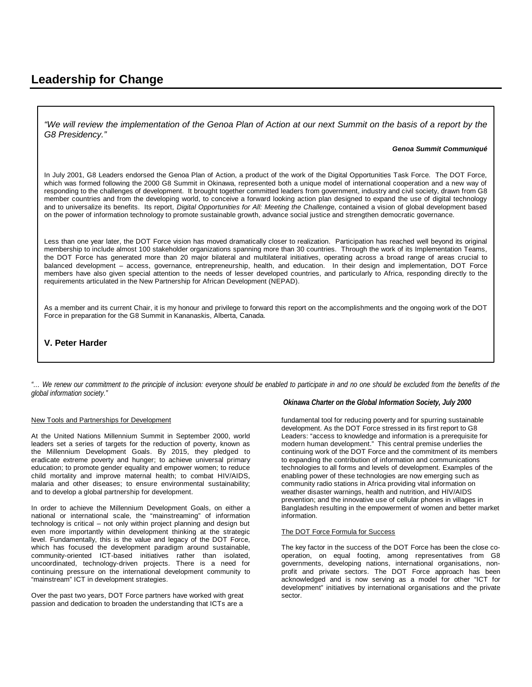# **Leadership for Change**

*"We will review the implementation of the Genoa Plan of Action at our next Summit on the basis of a report by the G8 Presidency."*

#### *Genoa Summit Communiqué*

In July 2001, G8 Leaders endorsed the Genoa Plan of Action, a product of the work of the Digital Opportunities Task Force. The DOT Force, which was formed following the 2000 G8 Summit in Okinawa, represented both a unique model of international cooperation and a new way of responding to the challenges of development. It brought together committed leaders from government, industry and civil society, drawn from G8 member countries and from the developing world, to conceive a forward looking action plan designed to expand the use of digital technology and to universalize its benefits. Its report, *Digital Opportunities for All: Meeting the Challeng*e, contained a vision of global development based on the power of information technology to promote sustainable growth, advance social justice and strengthen democratic governance.

Less than one year later, the DOT Force vision has moved dramatically closer to realization. Participation has reached well beyond its original membership to include almost 100 stakeholder organizations spanning more than 30 countries. Through the work of its Implementation Teams, the DOT Force has generated more than 20 major bilateral and multilateral initiatives, operating across a broad range of areas crucial to balanced development – access, governance, entrepreneurship, health, and education. In their design and implementation, DOT Force members have also given special attention to the needs of lesser developed countries, and particularly to Africa, responding directly to the requirements articulated in the New Partnership for African Development (NEPAD).

As a member and its current Chair, it is my honour and privilege to forward this report on the accomplishments and the ongoing work of the DOT Force in preparation for the G8 Summit in Kananaskis, Alberta, Canada.

## **V. Peter Harder**

*"… We renew our commitment to the principle of inclusion: everyone should be enabled to participate in and no one should be excluded from the benefits of the global information society."* 

#### New Tools and Partnerships for Development

At the United Nations Millennium Summit in September 2000, world leaders set a series of targets for the reduction of poverty, known as the Millennium Development Goals. By 2015, they pledged to eradicate extreme poverty and hunger; to achieve universal primary education; to promote gender equality and empower women; to reduce child mortality and improve maternal health; to combat HIV/AIDS, malaria and other diseases; to ensure environmental sustainability; and to develop a global partnership for development.

In order to achieve the Millennium Development Goals, on either a national or international scale, the "mainstreaming" of information technology is critical – not only within project planning and design but even more importantly within development thinking at the strategic level. Fundamentally, this is the value and legacy of the DOT Force, which has focused the development paradigm around sustainable, community-oriented ICT-based initiatives rather than isolated, uncoordinated, technology-driven projects. There is a need for continuing pressure on the international development community to "mainstream" ICT in development strategies.

Over the past two years, DOT Force partners have worked with great passion and dedication to broaden the understanding that ICTs are a

### *Okinawa Charter on the Global Information Society, July 2000*

fundamental tool for reducing poverty and for spurring sustainable development. As the DOT Force stressed in its first report to G8 Leaders: "access to knowledge and information is a prerequisite for modern human development." This central premise underlies the continuing work of the DOT Force and the commitment of its members to expanding the contribution of information and communications technologies to all forms and levels of development. Examples of the enabling power of these technologies are now emerging such as community radio stations in Africa providing vital information on weather disaster warnings, health and nutrition, and HIV/AIDS prevention; and the innovative use of cellular phones in villages in Bangladesh resulting in the empowerment of women and better market information.

#### The DOT Force Formula for Success

The key factor in the success of the DOT Force has been the close cooperation, on equal footing, among representatives from G8 governments, developing nations, international organisations, nonprofit and private sectors. The DOT Force approach has been acknowledged and is now serving as a model for other "ICT for development" initiatives by international organisations and the private sector.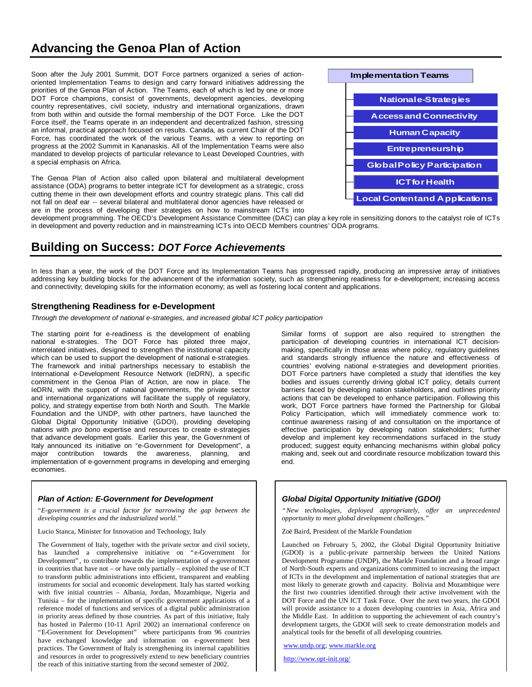# **Advancing the Genoa Plan of Action**

Soon after the July 2001 Summit, DOT Force partners organized a series of actionoriented Implementation Teams to design and carry forward initiatives addressing the priorities of the Genoa Plan of Action. The Teams, each of which is led by one or more DOT Force champions, consist of governments, development agencies, developing country representatives, civil society, industry and international organizations, drawn from both within and outside the formal membership of the DOT Force. Like the DOT Force itself, the Teams operate in an independent and decentralized fashion, stressing an informal, practical approach focused on results. Canada, as current Chair of the DOT Force, has coordinated the work of the various Teams, with a view to reporting on progress at the 2002 Summit in Kananaskis. All of the Implementation Teams were also mandated to develop projects of particular relevance to Least Developed Countries, with a special emphasis on Africa.

The Genoa Plan of Action also called upon bilateral and multilateral development assistance (ODA) programs to better integrate ICT for development as a strategic, cross cutting theme in their own development efforts and country strategic plans. This call did not fall on deaf ear -- several bilateral and multilateral donor agencies have released or are in the process of developing their strategies on how to mainstream ICTs into



development programming. The OECD's Development Assistance Committee (DAC) can play a key role in sensitizing donors to the catalyst role of ICTs in development and poverty reduction and in mainstreaming ICTs into OECD Members countries' ODA programs.

# **Building on Success:** *DOT Force Achievements*

In less than a year, the work of the DOT Force and its Implementation Teams has progressed rapidly, producing an impressive array of initiatives addressing key building blocks for the advancement of the information society, such as strengthening readiness for e-development; increasing access and connectivity; developing skills for the information economy; as well as fostering local content and applications.

## **Strengthening Readiness for e-Development**

*Through the development of national e-strategies, and increased global ICT policy participation*

The starting point for e-readiness is the development of enabling national e-strategies. The DOT Force has piloted three major, interrelated initiatives, designed to strengthen the institutional capacity which can be used to support the development of national e-strategies. The framework and initial partnerships necessary to establish the International e-Development Resource Network (IeDRN), a specific commitment in the Genoa Plan of Action, are now in place. The IeDRN, with the support of national governments, the private sector and international organizations will facilitate the supply of regulatory, policy, and strategy expertise from both North and South. The Markle Foundation and the UNDP, with other partners, have launched the Global Digital Opportunity Initiative (GDOI), providing developing nations with *pro bono* expertise and resources to create e-strategies that advance development goals. Earlier this year, the Government of Italy announced its initiative on "e-Government for Development", a major contribution towards the awareness, planning, and implementation of e-government programs in developing and emerging economies.

### *Plan of Action: E-Government for Development*

"*E*-g*overnment is a crucial factor for narrowing the gap between the developing countries and the industrialized world."*

Lucio Stanca, Minister for Innovation and Technology, Italy

The Government of Italy, together with the private sector and civil society, has launched a comprehensive initiative on "e-Government for Development", to contribute towards the implementation of e-government in countries that have not – or have only partially – exploited the use of ICT to transform public administrations into efficient, transparent and enabling instruments for social and economic development. Italy has started working with five initial countries – Albania, Jordan, Mozambique, Nigeria and Tunisia – for the implementation of specific government applications of a reference model of functions and services of a digital public administration in priority areas defined by those countries. As part of this initiative, Italy has hosted in Palermo (10-11 April 2002) an international conference on "E-Government for Development" where participants from 96 countries have exchanged knowledge and information on e-government best practices. The Government of Italy is strengthening its internal capabilities and resources in order to progressively extend to new beneficiary countries the reach of this initiative starting from the second semester of 2002.

Similar forms of support are also required to strengthen the participation of developing countries in international ICT decisionmaking, specifically in those areas where policy, regulatory guidelines and standards strongly influence the nature and effectiveness of countries' evolving national e-strategies and development priorities. DOT Force partners have completed a study that identifies the key bodies and issues currently driving global ICT policy, details current barriers faced by developing nation stakeholders, and outlines priority actions that can be developed to enhance participation. Following this work, DOT Force partners have formed the Partnership for Global Policy Participation, which will immediately commence work to: continue awareness raising of and consultation on the importance of effective participation by developing nation stakeholders; further develop and implement key recommendations surfaced in the study produced; suggest equity enhancing mechanisms within global policy making and, seek out and coordinate resource mobilization toward this end.

## *Global Digital Opportunity Initiative (GDOI)*

*"New technologies, deployed appropriately, offer an unprecedented opportunity to meet global development challenges."*

Zoë Baird, President of the Markle Foundation

Launched on February 5, 2002, the Global Digital Opportunity Initiative (GDOI) is a public-private partnership between the United Nations Development Programme (UNDP), the Markle Foundation and a broad range of North-South experts and organizations committed to increasing the impact of ICTs in the development and implementation of national strategies that are most likely to generate growth and capacity. Bolivia and Mozambique were the first two countries identified through their active involvement with the DOT Force and the UN ICT Task Force. Over the next two years, the GDOI will provide assistance to a dozen developing countries in Asia, Africa and the Middle East. In addition to supporting the achievement of each country's development targets, the GDOI will seek to create demonstration models and analytical tools for the benefit of all developing countries.

www.undp.org; www.markle.org

http://www.opt-init.org/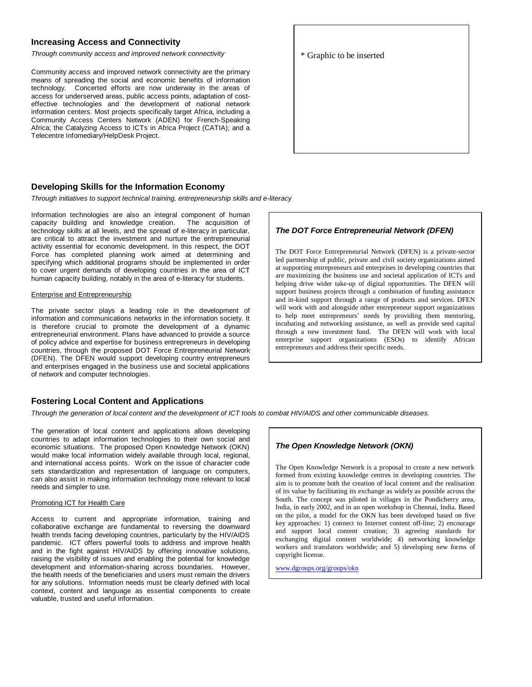## **Increasing Access and Connectivity**

*Through community access and improved network connectivity* 

Community access and improved network connectivity are the primary means of spreading the social and economic benefits of information technology. Concerted efforts are now underway in the areas of access for underserved areas, public access points, adaptation of costeffective technologies and the development of national network information centers. Most projects specifically target Africa, including a Community Access Centers Network (ADEN) for French-Speaking Africa; the Catalyzing Access to ICTs in Africa Project (CATIA); and a Telecentre Infomediary/HelpDesk Project.

### **Developing Skills for the Information Economy**

*Through initiatives to support technical training, entrepreneurship skills and e-literacy*

Information technologies are also an integral component of human capacity building and knowledge creation. The acquisition of technology skills at all levels, and the spread of e-literacy in particular, are critical to attract the investment and nurture the entrepreneurial activity essential for economic development. In this respect, the DOT Force has completed planning work aimed at determining and specifying which additional programs should be implemented in order to cover urgent demands of developing countries in the area of ICT human capacity building, notably in the area of e-literacy for students.

#### Enterprise and Entrepreneurship

The private sector plays a leading role in the development of information and communications networks in the information society. It is therefore crucial to promote the development of a dynamic entrepreneurial environment. Plans have advanced to provide a source of policy advice and expertise for business entrepreneurs in developing countries, through the proposed DOT Force Entrepreneurial Network (DFEN). The DFEN would support developing country entrepreneurs and enterprises engaged in the business use and societal applications of network and computer technologies.

## **Fostering Local Content and Applications**

*Through the generation of local content and the development of ICT tools to combat HIV/AIDS and other communicable diseases.*

The generation of local content and applications allows developing countries to adapt information technologies to their own social and economic situations. The proposed Open Knowledge Network (OKN) would make local information widely available through local, regional, and international access points. Work on the issue of character code sets standardization and representation of language on computers, can also assist in making information technology more relevant to local needs and simpler to use.

#### Promoting ICT for Health Care

Access to current and appropriate information, training and collaborative exchange are fundamental to reversing the downward health trends facing developing countries, particularly by the HIV/AIDS pandemic. ICT offers powerful tools to address and improve health and in the fight against HIV/AIDS by offering innovative solutions, raising the visibility of issues and enabling the potential for knowledge development and information-sharing across boundaries. However, the health needs of the beneficiaries and users must remain the drivers for any solutions. Information needs must be clearly defined with local context, content and language as essential components to create valuable, trusted and useful information.

### *The DOT Force Entrepreneurial Network (DFEN)*

The DOT Force Entrepreneurial Network (DFEN) is a private-sector led partnership of public, private and civil society organizations aimed at supporting entrepreneurs and enterprises in developing countries that are maximizing the business use and societal application of ICTs and helping drive wider take-up of digital opportunities. The DFEN will support business projects through a combination of funding assistance and in-kind support through a range of products and services. DFEN will work with and alongside other entrepreneur support organizations to help meet entrepreneurs' needs by providing them mentoring, incubating and networking assistance, as well as provide seed capital through a new investment fund. The DFEN will work with local enterprise support organizations (ESOs) to identify African entrepreneurs and address their specific needs.

### *The Open Knowledge Network (OKN)*

The Open Knowledge Network is a proposal to create a new network formed from existing knowledge centres in developing countries. The aim is to promote both the creation of local content and the realisation of its value by facilitating its exchange as widely as possible across the South. The concept was piloted in villages in the Pondicherry area, India, in early 2002, and in an open workshop in Chennai, India. Based on the pilot, a model for the OKN has been developed based on five key approaches: 1) connect to Internet content off-line; 2) encourage and support local content creation; 3) agreeing standards for exchanging digital content worldwide; 4) networking knowledge workers and translators worldwide; and 5) developing new forms of copyright license.

www.dgroups.org/groups/okn

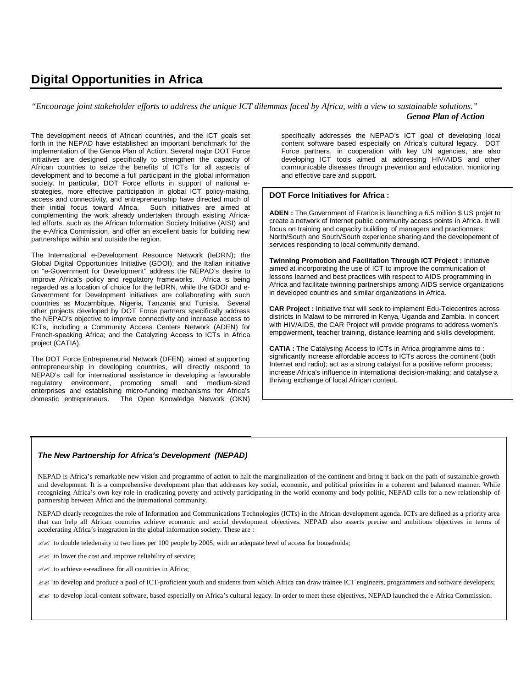# **Digital Opportunities in Africa**

*"Encourage joint stakeholder efforts to address the unique ICT dilemmas faced by Africa, with a view to sustainable solutions." Genoa Plan of Action*

The development needs of African countries, and the ICT goals set forth in the NEPAD have established an important benchmark for the implementation of the Genoa Plan of Action. Several major DOT Force initiatives are designed specifically to strengthen the capacity of African countries to seize the benefits of ICTs for all aspects of development and to become a full participant in the global information society. In particular, DOT Force efforts in support of national estrategies, more effective participation in global ICT policy-making, access and connectivity, and entrepreneurship have directed much of their initial focus toward Africa. Such initiatives are aimed at complementing the work already undertaken through existing Africaled efforts, such as the African Information Society Initiative (AISI) and the e-Africa Commission, and offer an excellent basis for building new partnerships within and outside the region.

The International e-Development Resource Network (IeDRN); the Global Digital Opportunities Initiative (GDOI); and the Italian initiative on "e-Government for Development" address the NEPAD's desire to improve Africa's policy and regulatory frameworks. Africa is being regarded as a location of choice for the IeDRN, while the GDOI and e-Government for Development initiatives are collaborating with such countries as Mozambique, Nigeria, Tanzania and Tunisia. Several other projects developed by DOT Force partners specifically address the NEPAD's objective to improve connectivity and increase access to ICTs, including a Community Access Centers Network (ADEN) for French-speaking Africa; and the Catalyzing Access to ICTs in Africa project (CATIA).

The DOT Force Entrepreneurial Network (DFEN), aimed at supporting entrepreneurship in developing countries, will directly respond to NEPAD's call for international assistance in developing a favourable regulatory environment, promoting small and medium-sized enterprises and establishing micro-funding mechanisms for Africa's domestic entrepreneurs. The Open Knowledge Network (OKN) specifically addresses the NEPAD's ICT goal of developing local content software based especially on Africa's cultural legacy. DOT Force partners, in cooperation with key UN agencies, are also developing ICT tools aimed at addressing HIV/AIDS and other communicable diseases through prevention and education, monitoring and effective care and support.

### **DOT Force Initiatives for Africa :**

**ADEN :** The Government of France is launching a 6.5 million \$ US projet to create a network of Internet public community access points in Africa. It will focus on training and capacity building of managers and practionners; North/South and South/South experience sharing and the developement of services responding to local community demand.

**Twinning Promotion and Facilitation Through ICT Project :** Initiative aimed at incorporating the use of ICT to improve the communication of lessons learned and best practices with respect to AIDS programming in Africa and facilitate twinning partnerships among AIDS service organizations in developed countries and similar organizations in Africa.

**CAR Project :** Initiative that will seek to implement Edu-Telecentres across districts in Malawi to be mirrored in Kenya, Uganda and Zambia. In concert with HIV/AIDS, the CAR Project will provide programs to address women's empowerment, teacher training, distance learning and skills development.

**CATIA :** The Catalysing Access to ICTs in Africa programme aims to : significantly increase affordable access to ICTs across the continent (both Internet and radio); act as a strong catalyst for a positive reform process; increase Africa's influence in international decision-making; and catalyse a thriving exchange of local African content.

### *The New Partnership for Africa's Development (NEPAD)*

NEPAD is Africa's remarkable new vision and programme of action to halt the marginalization of the continent and bring it back on the path of sustainable growth and development. It is a comprehensive development plan that addresses key social, economic, and political priorities in a coherent and balanced manner. While recognizing Africa's own key role in eradicating poverty and actively participating in the world economy and body politic, NEPAD calls for a new relationship of partnership between Africa and the international community.

NEPAD clearly recognizes the role of Information and Communications Technologies (ICTs) in the African development agenda. ICTs are defined as a priority area that can help all African countries achieve economic and social development objectives. NEPAD also asserts precise and ambitious objectives in terms of accelerating Africa's integration in the global information society. These are :

 $\ll$  to double teledensity to two lines per 100 people by 2005, with an adequate level of access for households;

 $\mathscr{L}$  to lower the cost and improve reliability of service;

 $\mathbb{Z}$  to achieve e-readiness for all countries in Africa;

?? to develop and produce a pool of ICT-proficient youth and students from which Africa can draw trainee ICT engineers, programmers and software developers;

?? to develop local-content software, based especially on Africa's cultural legacy. In order to meet these objectives, NEPAD launched the e-Africa Commission.